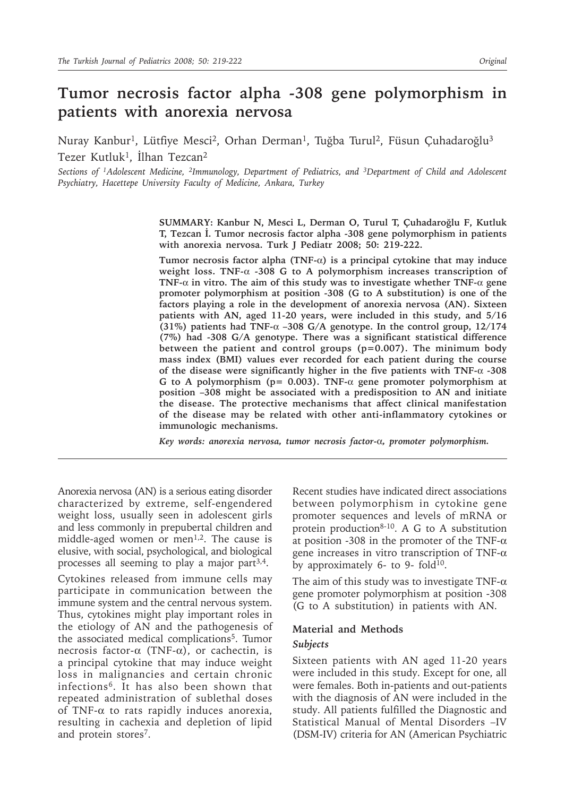# **Tumor necrosis factor alpha -308 gene polymorphism in patients with anorexia nervosa**

Nuray Kanbur<sup>1</sup>, Lütfiye Mesci<sup>2</sup>, Orhan Derman<sup>1</sup>, Tuğba Turul<sup>2</sup>, Füsun Çuhadaroğlu<sup>3</sup> Tezer Kutluk1, İlhan Tezcan2

*Sections of 1Adolescent Medicine, 2Immunology, Department of Pediatrics, and 3Department of Child and Adolescent Psychiatry, Hacettepe University Faculty of Medicine, Ankara, Turkey*

> **SUMMARY: Kanbur N, Mesci L, Derman O, Turul T, Çuhadaroğlu F, Kutluk T, Tezcan İ. Tumor necrosis factor alpha -308 gene polymorphism in patients with anorexia nervosa. Turk J Pediatr 2008; 50: 219-222.**

> **Tumor necrosis factor alpha (TNF-**α**) is a principal cytokine that may induce weight loss. TNF-**α **-308 G to A polymorphism increases transcription of TNF-**α **in vitro. The aim of this study was to investigate whether TNF-**α **gene promoter polymorphism at position -308 (G to A substitution) is one of the factors playing a role in the development of anorexia nervosa (AN). Sixteen patients with AN, aged 11-20 years, were included in this study, and 5/16 (31%) patients had TNF-**α **–308 G/A genotype. In the control group, 12/174 (7%) had -308 G/A genotype. There was a significant statistical difference between the patient and control groups (p=0.007). The minimum body mass index (BMI) values ever recorded for each patient during the course of the disease were significantly higher in the five patients with TNF-**α **-308 G to A polymorphism (p= 0.003). TNF-**α **gene promoter polymorphism at position –308 might be associated with a predisposition to AN and initiate the disease. The protective mechanisms that affect clinical manifestation of the disease may be related with other anti-inflammatory cytokines or immunologic mechanisms.**

*Key words: anorexia nervosa, tumor necrosis factor-*α*, promoter polymorphism.*

Anorexia nervosa (AN) is a serious eating disorder characterized by extreme, self-engendered weight loss, usually seen in adolescent girls and less commonly in prepubertal children and middle-aged women or men<sup>1,2</sup>. The cause is elusive, with social, psychological, and biological processes all seeming to play a major part3,4.

Cytokines released from immune cells may participate in communication between the immune system and the central nervous system. Thus, cytokines might play important roles in the etiology of AN and the pathogenesis of the associated medical complications5. Tumor necrosis factor- $\alpha$  (TNF- $\alpha$ ), or cachectin, is a principal cytokine that may induce weight loss in malignancies and certain chronic infections6. It has also been shown that repeated administration of sublethal doses of TNF-α to rats rapidly induces anorexia, resulting in cachexia and depletion of lipid and protein stores<sup>7</sup>.

Recent studies have indicated direct associations between polymorphism in cytokine gene promoter sequences and levels of mRNA or protein production $8-10$ . A G to A substitution at position -308 in the promoter of the TNF- $\alpha$ gene increases in vitro transcription of TNF-α by approximately 6- to 9- fold $10$ .

The aim of this study was to investigate TNF- $\alpha$ gene promoter polymorphism at position -308 (G to A substitution) in patients with AN.

# **Material and Methods** *Subjects*

Sixteen patients with AN aged 11-20 years were included in this study. Except for one, all were females. Both in-patients and out-patients with the diagnosis of AN were included in the study. All patients fulfilled the Diagnostic and Statistical Manual of Mental Disorders –IV (DSM-IV) criteria for AN (American Psychiatric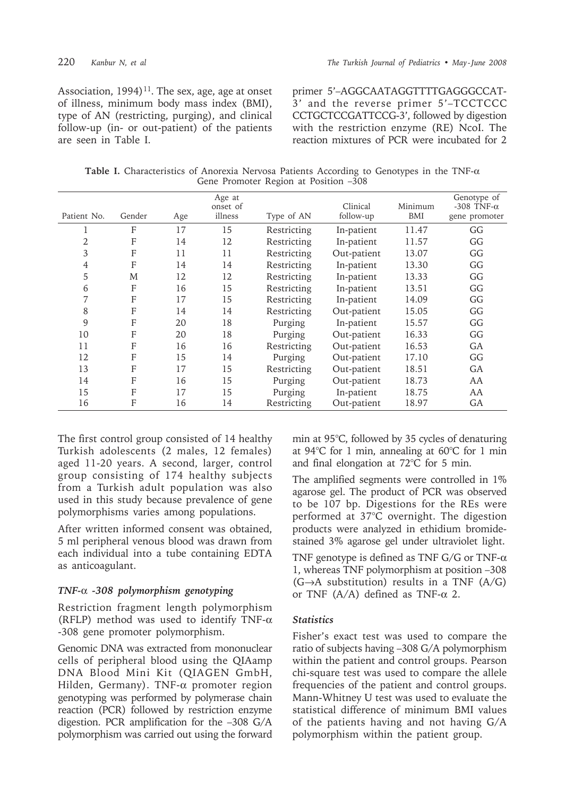Association,  $1994$ <sup>11</sup>. The sex, age, age at onset of illness, minimum body mass index (BMI), type of AN (restricting, purging), and clinical follow-up (in- or out-patient) of the patients are seen in Table I.

primer 5'–AGGCAATAGGTTTTGAGGGCCAT-3' and the reverse primer 5'–TCCTCCC CCTGCTCCGATTCCG-3', followed by digestion with the restriction enzyme (RE) NcoI. The reaction mixtures of PCR were incubated for 2

**Table I.** Characteristics of Anorexia Nervosa Patients According to Genotypes in the TNF-α Gene Promoter Region at Position –308

| Patient No.    | Gender | Age | Age at<br>onset of<br>illness | Type of AN  | Clinical<br>follow-up | Minimum<br>BMI | Genotype of<br>-308 TNF- $\alpha$<br>gene promoter |
|----------------|--------|-----|-------------------------------|-------------|-----------------------|----------------|----------------------------------------------------|
|                |        |     |                               |             |                       |                |                                                    |
| 1              | F      | 17  | 15                            | Restricting | In-patient            | 11.47          | GG                                                 |
| 2              | F      | 14  | 12                            | Restricting | In-patient            | 11.57          | GG                                                 |
| 3              | F      | 11  | 11                            | Restricting | Out-patient           | 13.07          | GG                                                 |
| $\overline{4}$ | F      | 14  | 14                            | Restricting | In-patient            | 13.30          | GG                                                 |
| 5              | M      | 12  | 12                            | Restricting | In-patient            | 13.33          | GG                                                 |
| 6              | F      | 16  | 15                            | Restricting | In-patient            | 13.51          | GG                                                 |
| 7              | F      | 17  | 15                            | Restricting | In-patient            | 14.09          | GG                                                 |
| 8              | F      | 14  | 14                            | Restricting | Out-patient           | 15.05          | GG                                                 |
| 9              | F      | 20  | 18                            | Purging     | In-patient            | 15.57          | GG                                                 |
| 10             | F      | 20  | 18                            | Purging     | Out-patient           | 16.33          | GG                                                 |
| 11             | F      | 16  | 16                            | Restricting | Out-patient           | 16.53          | GA                                                 |
| 12             | F      | 15  | 14                            | Purging     | Out-patient           | 17.10          | GG                                                 |
| 13             | F      | 17  | 15                            | Restricting | Out-patient           | 18.51          | GA                                                 |
| 14             | F      | 16  | 15                            | Purging     | Out-patient           | 18.73          | AA                                                 |
| 15             | F      | 17  | 15                            | Purging     | In-patient            | 18.75          | AA                                                 |
| 16             | F      | 16  | 14                            | Restricting | Out-patient           | 18.97          | GA                                                 |

The first control group consisted of 14 healthy Turkish adolescents (2 males, 12 females) aged 11-20 years. A second, larger, control group consisting of 174 healthy subjects from a Turkish adult population was also used in this study because prevalence of gene polymorphisms varies among populations.

After written informed consent was obtained, 5 ml peripheral venous blood was drawn from each individual into a tube containing EDTA as anticoagulant.

#### *TNF-*α *-308 polymorphism genotyping*

Restriction fragment length polymorphism (RFLP) method was used to identify TNF-α -308 gene promoter polymorphism.

Genomic DNA was extracted from mononuclear cells of peripheral blood using the QIAamp DNA Blood Mini Kit (QIAGEN GmbH, Hilden, Germany). TNF-α promoter region genotyping was performed by polymerase chain reaction (PCR) followed by restriction enzyme digestion. PCR amplification for the –308 G/A polymorphism was carried out using the forward min at 95°C, followed by 35 cycles of denaturing at 94°C for 1 min, annealing at 60°C for 1 min and final elongation at 72°C for 5 min.

The amplified segments were controlled in 1% agarose gel. The product of PCR was observed to be 107 bp. Digestions for the REs were performed at 37°C overnight. The digestion products were analyzed in ethidium bromidestained 3% agarose gel under ultraviolet light.

TNF genotype is defined as TNF  $G/G$  or TNF- $\alpha$ 1, whereas TNF polymorphism at position –308  $(G \rightarrow A$  substitution) results in a TNF  $(A/G)$ or TNF  $(A/A)$  defined as TNF- $\alpha$  2.

# *Statistics*

Fisher's exact test was used to compare the ratio of subjects having –308 G/A polymorphism within the patient and control groups. Pearson chi-square test was used to compare the allele frequencies of the patient and control groups. Mann-Whitney U test was used to evaluate the statistical difference of minimum BMI values of the patients having and not having G/A polymorphism within the patient group.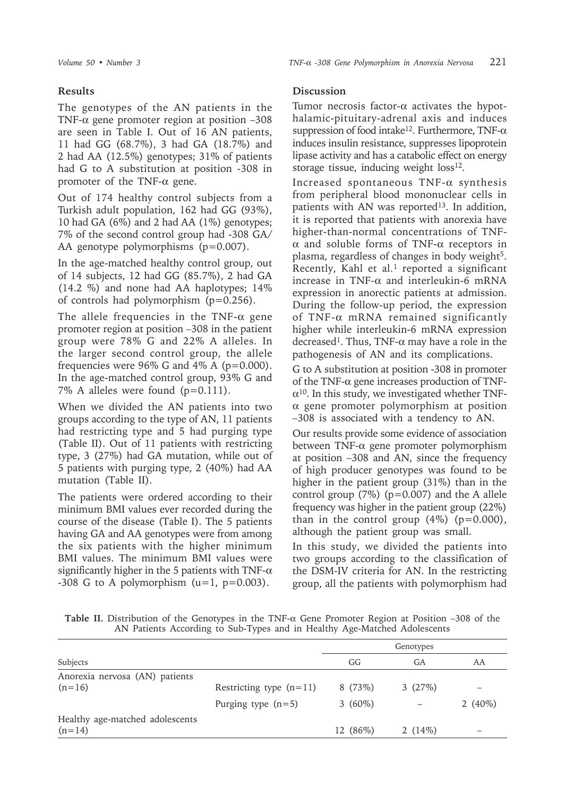# **Results**

The genotypes of the AN patients in the TNF-α gene promoter region at position –308 are seen in Table I. Out of 16 AN patients, 11 had GG (68.7%), 3 had GA (18.7%) and 2 had AA (12.5%) genotypes; 31% of patients had G to A substitution at position -308 in promoter of the TNF-α gene.

Out of 174 healthy control subjects from a Turkish adult population, 162 had GG (93%), 10 had GA (6%) and 2 had AA (1%) genotypes; 7% of the second control group had -308 GA/ AA genotype polymorphisms (p=0.007).

In the age-matched healthy control group, out of 14 subjects, 12 had GG (85.7%), 2 had GA (14.2 %) and none had AA haplotypes; 14% of controls had polymorphism (p=0.256).

The allele frequencies in the TNF- $\alpha$  gene promoter region at position –308 in the patient group were 78% G and 22% A alleles. In the larger second control group, the allele frequencies were  $96\%$  G and  $4\%$  A ( $p=0.000$ ). In the age-matched control group, 93% G and 7% A alleles were found (p=0.111).

When we divided the AN patients into two groups according to the type of AN, 11 patients had restricting type and 5 had purging type (Table II). Out of 11 patients with restricting type, 3 (27%) had GA mutation, while out of 5 patients with purging type, 2 (40%) had AA mutation (Table II).

The patients were ordered according to their minimum BMI values ever recorded during the course of the disease (Table I). The 5 patients having GA and AA genotypes were from among the six patients with the higher minimum BMI values. The minimum BMI values were significantly higher in the 5 patients with TNF- $\alpha$  $-308$  G to A polymorphism (u=1, p=0.003).

## **Discussion**

Tumor necrosis factor-α activates the hypothalamic-pituitary-adrenal axis and induces suppression of food intake<sup>12</sup>. Furthermore, TNF- $\alpha$ induces insulin resistance, suppresses lipoprotein lipase activity and has a catabolic effect on energy storage tissue, inducing weight  $loss<sup>12</sup>$ .

Increased spontaneous  $TNF-\alpha$  synthesis from peripheral blood mononuclear cells in patients with AN was reported<sup>13</sup>. In addition, it is reported that patients with anorexia have higher-than-normal concentrations of TNFα and soluble forms of TNF-α receptors in plasma, regardless of changes in body weight<sup>5</sup>. Recently, Kahl et al.<sup>1</sup> reported a significant increase in TNF-α and interleukin-6 mRNA expression in anorectic patients at admission. During the follow-up period, the expression of TNF-α mRNA remained significantly higher while interleukin-6 mRNA expression decreased<sup>1</sup>. Thus, TNF-α may have a role in the pathogenesis of AN and its complications.

G to A substitution at position -308 in promoter of the TNF- $\alpha$  gene increases production of TNF- $\alpha^{10}$ . In this study, we investigated whether TNFα gene promoter polymorphism at position –308 is associated with a tendency to AN.

Our results provide some evidence of association between TNF-α gene promoter polymorphism at position –308 and AN, since the frequency of high producer genotypes was found to be higher in the patient group (31%) than in the control group  $(7%)$  (p=0.007) and the A allele frequency was higher in the patient group (22%) than in the control group  $(4\%)$  (p=0.000), although the patient group was small.

In this study, we divided the patients into two groups according to the classification of the DSM-IV criteria for AN. In the restricting group, all the patients with polymorphism had

**Table II.** Distribution of the Genotypes in the TNF-α Gene Promoter Region at Position –308 of the AN Patients According to Sub-Types and in Healthy Age-Matched Adolescents

|                                             |                           | Genotypes |           |            |
|---------------------------------------------|---------------------------|-----------|-----------|------------|
| Subjects                                    | GG                        | GA        | AA        |            |
| Anorexia nervosa (AN) patients<br>$(n=16)$  | Restricting type $(n=11)$ | 8(73%)    | 3(27%)    |            |
|                                             | Purging type $(n=5)$      | $3(60\%)$ |           | 2 $(40\%)$ |
| Healthy age-matched adolescents<br>$(n=14)$ |                           | 12 (86%)  | 2 $(14%)$ |            |